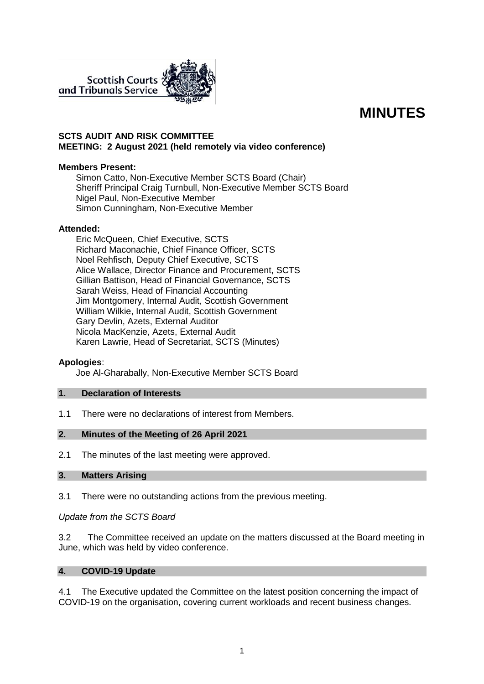

# **MINUTES**

# **SCTS AUDIT AND RISK COMMITTEE MEETING: 2 August 2021 (held remotely via video conference)**

## **Members Present:**

Simon Catto, Non-Executive Member SCTS Board (Chair) Sheriff Principal Craig Turnbull, Non-Executive Member SCTS Board Nigel Paul, Non-Executive Member Simon Cunningham, Non-Executive Member

## **Attended:**

Eric McQueen, Chief Executive, SCTS Richard Maconachie, Chief Finance Officer, SCTS Noel Rehfisch, Deputy Chief Executive, SCTS Alice Wallace, Director Finance and Procurement, SCTS Gillian Battison, Head of Financial Governance, SCTS Sarah Weiss, Head of Financial Accounting Jim Montgomery, Internal Audit, Scottish Government William Wilkie, Internal Audit, Scottish Government Gary Devlin, Azets, External Auditor Nicola MacKenzie, Azets, External Audit Karen Lawrie, Head of Secretariat, SCTS (Minutes)

#### **Apologies**:

Joe Al-Gharabally, Non-Executive Member SCTS Board

#### **1. Declaration of Interests**

1.1 There were no declarations of interest from Members.

#### **2. Minutes of the Meeting of 26 April 2021**

2.1 The minutes of the last meeting were approved.

# **3. Matters Arising**

3.1 There were no outstanding actions from the previous meeting.

*Update from the SCTS Board*

3.2 The Committee received an update on the matters discussed at the Board meeting in June, which was held by video conference.

#### **4. COVID-19 Update**

4.1 The Executive updated the Committee on the latest position concerning the impact of COVID-19 on the organisation, covering current workloads and recent business changes.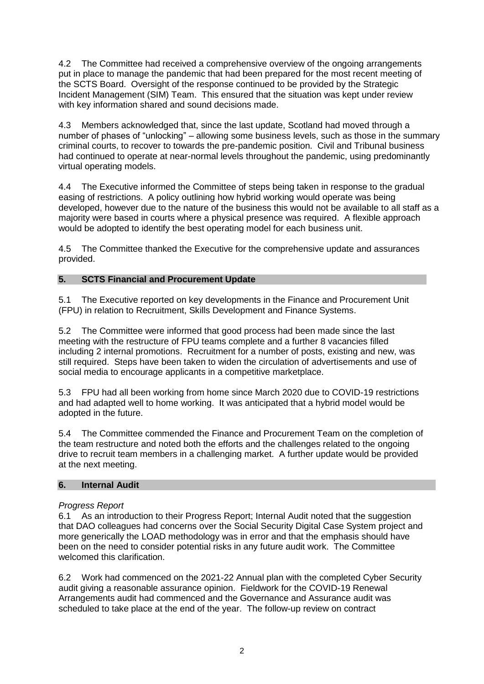4.2 The Committee had received a comprehensive overview of the ongoing arrangements put in place to manage the pandemic that had been prepared for the most recent meeting of the SCTS Board. Oversight of the response continued to be provided by the Strategic Incident Management (SIM) Team. This ensured that the situation was kept under review with key information shared and sound decisions made.

4.3 Members acknowledged that, since the last update, Scotland had moved through a number of phases of "unlocking" – allowing some business levels, such as those in the summary criminal courts, to recover to towards the pre-pandemic position. Civil and Tribunal business had continued to operate at near-normal levels throughout the pandemic, using predominantly virtual operating models.

4.4 The Executive informed the Committee of steps being taken in response to the gradual easing of restrictions. A policy outlining how hybrid working would operate was being developed, however due to the nature of the business this would not be available to all staff as a majority were based in courts where a physical presence was required. A flexible approach would be adopted to identify the best operating model for each business unit.

4.5 The Committee thanked the Executive for the comprehensive update and assurances provided.

# **5. SCTS Financial and Procurement Update**

5.1 The Executive reported on key developments in the Finance and Procurement Unit (FPU) in relation to Recruitment, Skills Development and Finance Systems.

5.2 The Committee were informed that good process had been made since the last meeting with the restructure of FPU teams complete and a further 8 vacancies filled including 2 internal promotions. Recruitment for a number of posts, existing and new, was still required. Steps have been taken to widen the circulation of advertisements and use of social media to encourage applicants in a competitive marketplace.

5.3 FPU had all been working from home since March 2020 due to COVID-19 restrictions and had adapted well to home working. It was anticipated that a hybrid model would be adopted in the future.

5.4 The Committee commended the Finance and Procurement Team on the completion of the team restructure and noted both the efforts and the challenges related to the ongoing drive to recruit team members in a challenging market. A further update would be provided at the next meeting.

# **6. Internal Audit**

# *Progress Report*

6.1 As an introduction to their Progress Report; Internal Audit noted that the suggestion that DAO colleagues had concerns over the Social Security Digital Case System project and more generically the LOAD methodology was in error and that the emphasis should have been on the need to consider potential risks in any future audit work. The Committee welcomed this clarification.

6.2 Work had commenced on the 2021-22 Annual plan with the completed Cyber Security audit giving a reasonable assurance opinion. Fieldwork for the COVID-19 Renewal Arrangements audit had commenced and the Governance and Assurance audit was scheduled to take place at the end of the year. The follow-up review on contract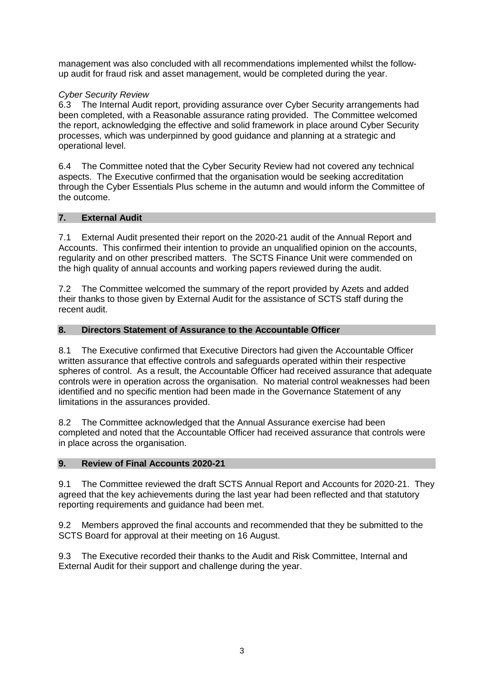management was also concluded with all recommendations implemented whilst the followup audit for fraud risk and asset management, would be completed during the year.

# *Cyber Security Review*

6.3 The Internal Audit report, providing assurance over Cyber Security arrangements had been completed, with a Reasonable assurance rating provided. The Committee welcomed the report, acknowledging the effective and solid framework in place around Cyber Security processes, which was underpinned by good guidance and planning at a strategic and operational level.

6.4 The Committee noted that the Cyber Security Review had not covered any technical aspects. The Executive confirmed that the organisation would be seeking accreditation through the Cyber Essentials Plus scheme in the autumn and would inform the Committee of the outcome.

# **7. External Audit**

7.1 External Audit presented their report on the 2020-21 audit of the Annual Report and Accounts. This confirmed their intention to provide an unqualified opinion on the accounts, regularity and on other prescribed matters. The SCTS Finance Unit were commended on the high quality of annual accounts and working papers reviewed during the audit.

7.2 The Committee welcomed the summary of the report provided by Azets and added their thanks to those given by External Audit for the assistance of SCTS staff during the recent audit.

# **8. Directors Statement of Assurance to the Accountable Officer**

8.1 The Executive confirmed that Executive Directors had given the Accountable Officer written assurance that effective controls and safeguards operated within their respective spheres of control. As a result, the Accountable Officer had received assurance that adequate controls were in operation across the organisation. No material control weaknesses had been identified and no specific mention had been made in the Governance Statement of any limitations in the assurances provided.

8.2 The Committee acknowledged that the Annual Assurance exercise had been completed and noted that the Accountable Officer had received assurance that controls were in place across the organisation.

# **9. Review of Final Accounts 2020-21**

9.1 The Committee reviewed the draft SCTS Annual Report and Accounts for 2020-21. They agreed that the key achievements during the last year had been reflected and that statutory reporting requirements and guidance had been met.

9.2 Members approved the final accounts and recommended that they be submitted to the SCTS Board for approval at their meeting on 16 August.

9.3 The Executive recorded their thanks to the Audit and Risk Committee, Internal and External Audit for their support and challenge during the year.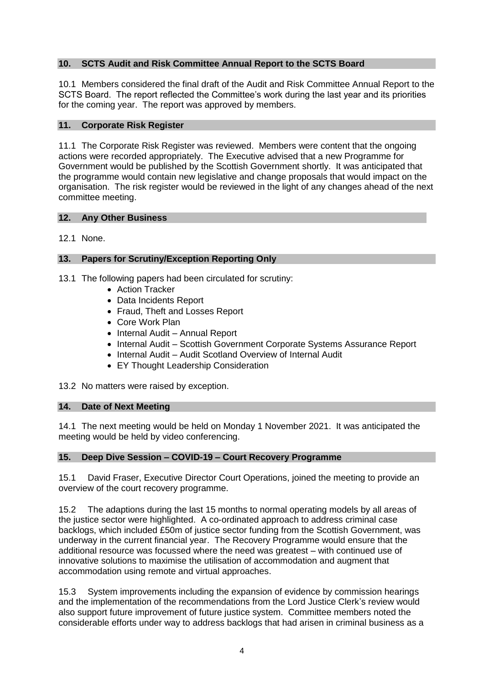# **10. SCTS Audit and Risk Committee Annual Report to the SCTS Board**

10.1 Members considered the final draft of the Audit and Risk Committee Annual Report to the SCTS Board. The report reflected the Committee's work during the last year and its priorities for the coming year. The report was approved by members.

# **11. Corporate Risk Register**

11.1 The Corporate Risk Register was reviewed. Members were content that the ongoing actions were recorded appropriately. The Executive advised that a new Programme for Government would be published by the Scottish Government shortly. It was anticipated that the programme would contain new legislative and change proposals that would impact on the organisation. The risk register would be reviewed in the light of any changes ahead of the next committee meeting.

# **12. Any Other Business**

12.1 None.

# **13. Papers for Scrutiny/Exception Reporting Only**

13.1 The following papers had been circulated for scrutiny:

- Action Tracker
- Data Incidents Report
- Fraud, Theft and Losses Report
- Core Work Plan
- Internal Audit Annual Report
- Internal Audit Scottish Government Corporate Systems Assurance Report
- Internal Audit Audit Scotland Overview of Internal Audit
- EY Thought Leadership Consideration

13.2 No matters were raised by exception.

# **14. Date of Next Meeting**

14.1 The next meeting would be held on Monday 1 November 2021. It was anticipated the meeting would be held by video conferencing.

# **15. Deep Dive Session – COVID-19 – Court Recovery Programme**

15.1 David Fraser, Executive Director Court Operations, joined the meeting to provide an overview of the court recovery programme.

15.2 The adaptions during the last 15 months to normal operating models by all areas of the justice sector were highlighted. A co-ordinated approach to address criminal case backlogs, which included £50m of justice sector funding from the Scottish Government, was underway in the current financial year. The Recovery Programme would ensure that the additional resource was focussed where the need was greatest – with continued use of innovative solutions to maximise the utilisation of accommodation and augment that accommodation using remote and virtual approaches.

15.3 System improvements including the expansion of evidence by commission hearings and the implementation of the recommendations from the Lord Justice Clerk's review would also support future improvement of future justice system. Committee members noted the considerable efforts under way to address backlogs that had arisen in criminal business as a